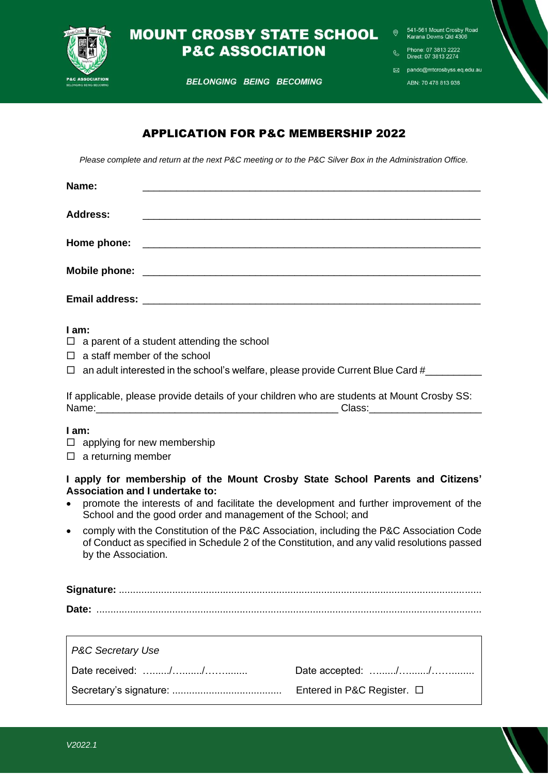

# **MOUNT CROSBY STATE SCHOOL P&C ASSOCIATION**

541-561 Mount Crosby Road Karana Downs Qld 4306

Phone: 07 3813 2222<br>Direct: 07 3813 2274

**BELONGING BEING BECOMING** 

pandc@mtcrosbyss.eq.edu.au

ABN: 70 478 813 938

### APPLICATION FOR P&C MEMBERSHIP 2022

*Please complete and return at the next P&C meeting or to the P&C Silver Box in the Administration Office.*

| Name:           |                                                           |  |
|-----------------|-----------------------------------------------------------|--|
| <b>Address:</b> | <u> 1980 - Andrea Andrewski, fransk politik (d. 1980)</u> |  |
|                 |                                                           |  |
|                 |                                                           |  |
|                 |                                                           |  |

#### **I am:**

- $\Box$  a parent of a student attending the school
- $\Box$  a staff member of the school

 $\Box$  an adult interested in the school's welfare, please provide Current Blue Card #

|       | If applicable, please provide details of your children who are students at Mount Crosby SS: |
|-------|---------------------------------------------------------------------------------------------|
| Name: | Class:                                                                                      |

#### **I am:**

- $\Box$  applying for new membership
- $\square$  a returning member

#### **I apply for membership of the Mount Crosby State School Parents and Citizens' Association and I undertake to:**

- promote the interests of and facilitate the development and further improvement of the School and the good order and management of the School; and
- comply with the Constitution of the P&C Association, including the P&C Association Code of Conduct as specified in Schedule 2 of the Constitution, and any valid resolutions passed by the Association.

**Signature:** ................................................................................................................................. **Date:** .........................................................................................................................................

| P&C Secretary Use |                                 |  |  |
|-------------------|---------------------------------|--|--|
|                   |                                 |  |  |
|                   | Entered in P&C Register. $\Box$ |  |  |

 $\overline{\Gamma}$